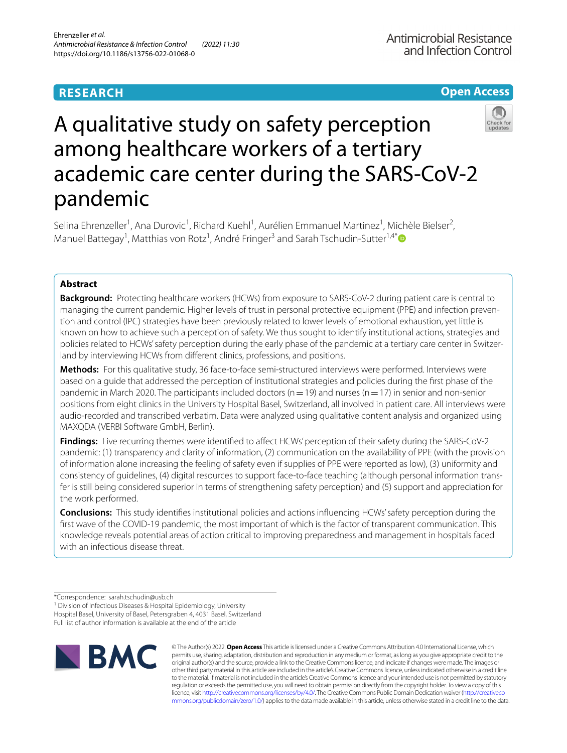# **RESEARCH**

**Open Access**

# A qualitative study on safety perception among healthcare workers of a tertiary academic care center during the SARS-CoV-2 pandemic

Selina Ehrenzeller<sup>1</sup>, Ana Durovic<sup>1</sup>, Richard Kuehl<sup>1</sup>, Aurélien Emmanuel Martinez<sup>1</sup>, Michèle Bielser<sup>2</sup>, Manuel Battegay<sup>1</sup>, Matthias von Rotz<sup>1</sup>, André Fringer<sup>3</sup> and Sarah Tschudin-Sutter<sup>1,4[\\*](http://orcid.org/0000-0003-4875-5368)</sup>

# **Abstract**

**Background:** Protecting healthcare workers (HCWs) from exposure to SARS-CoV-2 during patient care is central to managing the current pandemic. Higher levels of trust in personal protective equipment (PPE) and infection preven‑ tion and control (IPC) strategies have been previously related to lower levels of emotional exhaustion, yet little is known on how to achieve such a perception of safety. We thus sought to identify institutional actions, strategies and policies related to HCWs' safety perception during the early phase of the pandemic at a tertiary care center in Switzerland by interviewing HCWs from diferent clinics, professions, and positions.

**Methods:** For this qualitative study, 36 face-to-face semi-structured interviews were performed. Interviews were based on a guide that addressed the perception of institutional strategies and policies during the frst phase of the pandemic in March 2020. The participants included doctors ( $n=19$ ) and nurses ( $n=17$ ) in senior and non-senior positions from eight clinics in the University Hospital Basel, Switzerland, all involved in patient care. All interviews were audio-recorded and transcribed verbatim. Data were analyzed using qualitative content analysis and organized using MAXQDA (VERBI Software GmbH, Berlin).

**Findings:** Five recurring themes were identifed to afect HCWs' perception of their safety during the SARS-CoV-2 pandemic: (1) transparency and clarity of information, (2) communication on the availability of PPE (with the provision of information alone increasing the feeling of safety even if supplies of PPE were reported as low), (3) uniformity and consistency of guidelines, (4) digital resources to support face-to-face teaching (although personal information trans‑ fer is still being considered superior in terms of strengthening safety perception) and (5) support and appreciation for the work performed.

**Conclusions:** This study identifes institutional policies and actions infuencing HCWs' safety perception during the frst wave of the COVID-19 pandemic, the most important of which is the factor of transparent communication. This knowledge reveals potential areas of action critical to improving preparedness and management in hospitals faced with an infectious disease threat.

<sup>1</sup> Division of Infectious Diseases & Hospital Epidemiology, University Hospital Basel, University of Basel, Petersgraben 4, 4031 Basel, Switzerland Full list of author information is available at the end of the article



© The Author(s) 2022. **Open Access** This article is licensed under a Creative Commons Attribution 4.0 International License, which permits use, sharing, adaptation, distribution and reproduction in any medium or format, as long as you give appropriate credit to the original author(s) and the source, provide a link to the Creative Commons licence, and indicate if changes were made. The images or other third party material in this article are included in the article's Creative Commons licence, unless indicated otherwise in a credit line to the material. If material is not included in the article's Creative Commons licence and your intended use is not permitted by statutory regulation or exceeds the permitted use, you will need to obtain permission directly from the copyright holder. To view a copy of this licence, visit [http://creativecommons.org/licenses/by/4.0/.](http://creativecommons.org/licenses/by/4.0/) The Creative Commons Public Domain Dedication waiver ([http://creativeco](http://creativecommons.org/publicdomain/zero/1.0/) [mmons.org/publicdomain/zero/1.0/](http://creativecommons.org/publicdomain/zero/1.0/)) applies to the data made available in this article, unless otherwise stated in a credit line to the data.

<sup>\*</sup>Correspondence: sarah.tschudin@usb.ch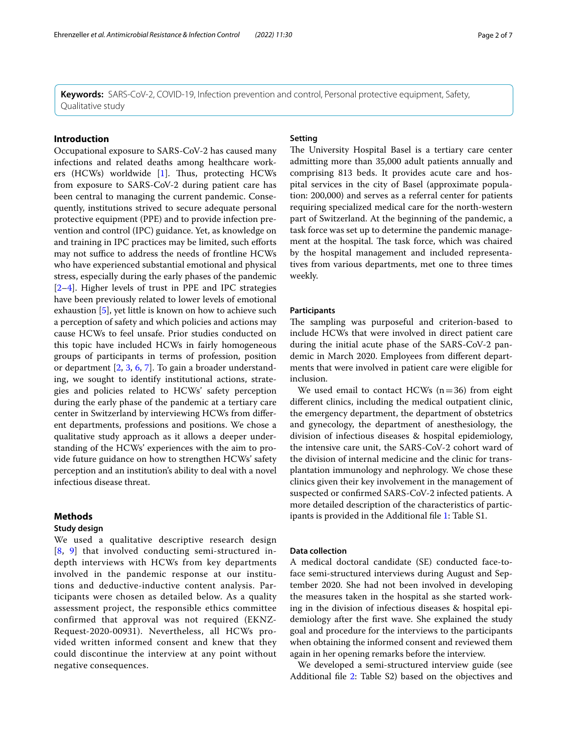**Keywords:** SARS-CoV-2, COVID-19, Infection prevention and control, Personal protective equipment, Safety, Qualitative study

# **Introduction**

Occupational exposure to SARS-CoV-2 has caused many infections and related deaths among healthcare work-ers (HCWs) worldwide [\[1](#page-6-0)]. Thus, protecting HCWs from exposure to SARS-CoV-2 during patient care has been central to managing the current pandemic. Consequently, institutions strived to secure adequate personal protective equipment (PPE) and to provide infection prevention and control (IPC) guidance. Yet, as knowledge on and training in IPC practices may be limited, such eforts may not suffice to address the needs of frontline HCWs who have experienced substantial emotional and physical stress, especially during the early phases of the pandemic [[2–](#page-6-1)[4\]](#page-6-2). Higher levels of trust in PPE and IPC strategies have been previously related to lower levels of emotional exhaustion [[5\]](#page-6-3), yet little is known on how to achieve such a perception of safety and which policies and actions may cause HCWs to feel unsafe. Prior studies conducted on this topic have included HCWs in fairly homogeneous groups of participants in terms of profession, position or department [\[2](#page-6-1), [3](#page-6-4), [6,](#page-6-5) [7\]](#page-6-6). To gain a broader understanding, we sought to identify institutional actions, strategies and policies related to HCWs' safety perception during the early phase of the pandemic at a tertiary care center in Switzerland by interviewing HCWs from diferent departments, professions and positions. We chose a qualitative study approach as it allows a deeper understanding of the HCWs' experiences with the aim to provide future guidance on how to strengthen HCWs' safety perception and an institution's ability to deal with a novel infectious disease threat.

#### **Methods**

## **Study design**

We used a qualitative descriptive research design [[8](#page-6-7), [9](#page-6-8)] that involved conducting semi-structured indepth interviews with HCWs from key departments involved in the pandemic response at our institutions and deductive-inductive content analysis. Participants were chosen as detailed below. As a quality assessment project, the responsible ethics committee confirmed that approval was not required (EKNZ-Request-2020-00931). Nevertheless, all HCWs provided written informed consent and knew that they could discontinue the interview at any point without negative consequences.

# **Setting**

The University Hospital Basel is a tertiary care center admitting more than 35,000 adult patients annually and comprising 813 beds. It provides acute care and hospital services in the city of Basel (approximate population: 200,000) and serves as a referral center for patients requiring specialized medical care for the north-western part of Switzerland. At the beginning of the pandemic, a task force was set up to determine the pandemic management at the hospital. The task force, which was chaired by the hospital management and included representatives from various departments, met one to three times weekly.

## **Participants**

The sampling was purposeful and criterion-based to include HCWs that were involved in direct patient care during the initial acute phase of the SARS-CoV-2 pandemic in March 2020. Employees from diferent departments that were involved in patient care were eligible for inclusion.

We used email to contact HCWs  $(n=36)$  from eight diferent clinics, including the medical outpatient clinic, the emergency department, the department of obstetrics and gynecology, the department of anesthesiology, the division of infectious diseases & hospital epidemiology, the intensive care unit, the SARS-CoV-2 cohort ward of the division of internal medicine and the clinic for transplantation immunology and nephrology. We chose these clinics given their key involvement in the management of suspected or confrmed SARS-CoV-2 infected patients. A more detailed description of the characteristics of participants is provided in the Additional fle [1:](#page-6-9) Table S1.

## **Data collection**

A medical doctoral candidate (SE) conducted face-toface semi-structured interviews during August and September 2020. She had not been involved in developing the measures taken in the hospital as she started working in the division of infectious diseases & hospital epidemiology after the frst wave. She explained the study goal and procedure for the interviews to the participants when obtaining the informed consent and reviewed them again in her opening remarks before the interview.

We developed a semi-structured interview guide (see Additional file [2:](#page-6-10) Table S2) based on the objectives and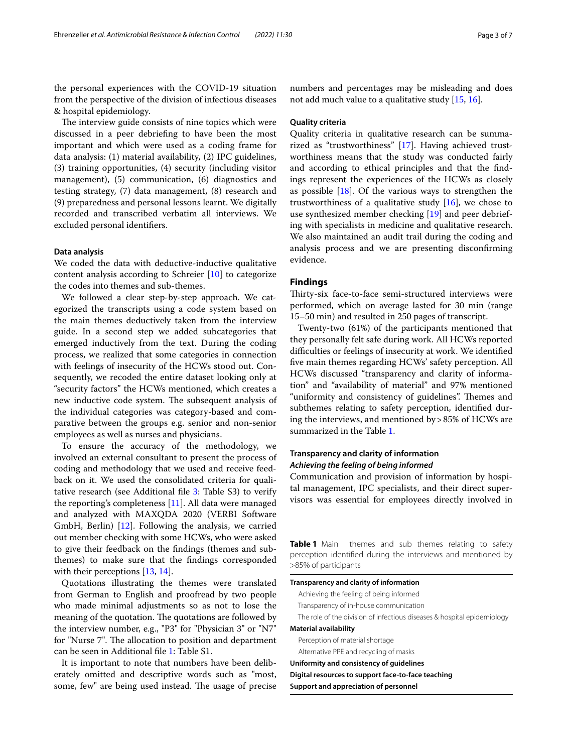the personal experiences with the COVID-19 situation from the perspective of the division of infectious diseases & hospital epidemiology.

The interview guide consists of nine topics which were discussed in a peer debriefng to have been the most important and which were used as a coding frame for data analysis: (1) material availability, (2) IPC guidelines, (3) training opportunities, (4) security (including visitor management), (5) communication, (6) diagnostics and testing strategy, (7) data management, (8) research and (9) preparedness and personal lessons learnt. We digitally recorded and transcribed verbatim all interviews. We excluded personal identifers.

## **Data analysis**

We coded the data with deductive-inductive qualitative content analysis according to Schreier [[10\]](#page-6-11) to categorize the codes into themes and sub-themes.

We followed a clear step-by-step approach. We categorized the transcripts using a code system based on the main themes deductively taken from the interview guide. In a second step we added subcategories that emerged inductively from the text. During the coding process, we realized that some categories in connection with feelings of insecurity of the HCWs stood out. Consequently, we recoded the entire dataset looking only at "security factors" the HCWs mentioned, which creates a new inductive code system. The subsequent analysis of the individual categories was category-based and comparative between the groups e.g. senior and non-senior employees as well as nurses and physicians.

To ensure the accuracy of the methodology, we involved an external consultant to present the process of coding and methodology that we used and receive feedback on it. We used the consolidated criteria for qualitative research (see Additional fle [3:](#page-6-12) Table S3) to verify the reporting's completeness [\[11](#page-6-13)]. All data were managed and analyzed with MAXQDA 2020 (VERBI Software GmbH, Berlin) [[12\]](#page-6-14). Following the analysis, we carried out member checking with some HCWs, who were asked to give their feedback on the fndings (themes and subthemes) to make sure that the fndings corresponded with their perceptions [\[13](#page-6-15), [14\]](#page-6-16).

Quotations illustrating the themes were translated from German to English and proofread by two people who made minimal adjustments so as not to lose the meaning of the quotation. The quotations are followed by the interview number, e.g., "P3" for "Physician 3" or "N7" for "Nurse 7". The allocation to position and department can be seen in Additional fle [1:](#page-6-9) Table S1.

It is important to note that numbers have been deliberately omitted and descriptive words such as "most, some, few" are being used instead. The usage of precise numbers and percentages may be misleading and does not add much value to a qualitative study [[15](#page-6-17), [16\]](#page-6-18).

## **Quality criteria**

Quality criteria in qualitative research can be summarized as "trustworthiness" [[17\]](#page-6-19). Having achieved trustworthiness means that the study was conducted fairly and according to ethical principles and that the fndings represent the experiences of the HCWs as closely as possible [\[18](#page-6-20)]. Of the various ways to strengthen the trustworthiness of a qualitative study  $[16]$  $[16]$ , we chose to use synthesized member checking [\[19](#page-6-21)] and peer debriefing with specialists in medicine and qualitative research. We also maintained an audit trail during the coding and analysis process and we are presenting disconfrming evidence.

#### **Findings**

Thirty-six face-to-face semi-structured interviews were performed, which on average lasted for 30 min (range 15–50 min) and resulted in 250 pages of transcript.

Twenty-two (61%) of the participants mentioned that they personally felt safe during work. All HCWs reported difficulties or feelings of insecurity at work. We identified five main themes regarding HCWs' safety perception. All HCWs discussed "transparency and clarity of information" and "availability of material" and 97% mentioned "uniformity and consistency of guidelines". Themes and subthemes relating to safety perception, identifed during the interviews, and mentioned by>85% of HCWs are summarized in the Table [1](#page-2-0).

# **Transparency and clarity of information** *Achieving the feeling of being informed*

Communication and provision of information by hospital management, IPC specialists, and their direct supervisors was essential for employees directly involved in

<span id="page-2-0"></span>**Table 1** Main themes and sub themes relating to safety perception identifed during the interviews and mentioned by >85% of participants

## **Transparency and clarity of information**

Achieving the feeling of being informed Transparency of in-house communication The role of the division of infectious diseases & hospital epidemiology

# **Material availability**

Perception of material shortage Alternative PPE and recycling of masks

**Uniformity and consistency of guidelines**

**Digital resources to support face-to-face teaching**

**Support and appreciation of personnel**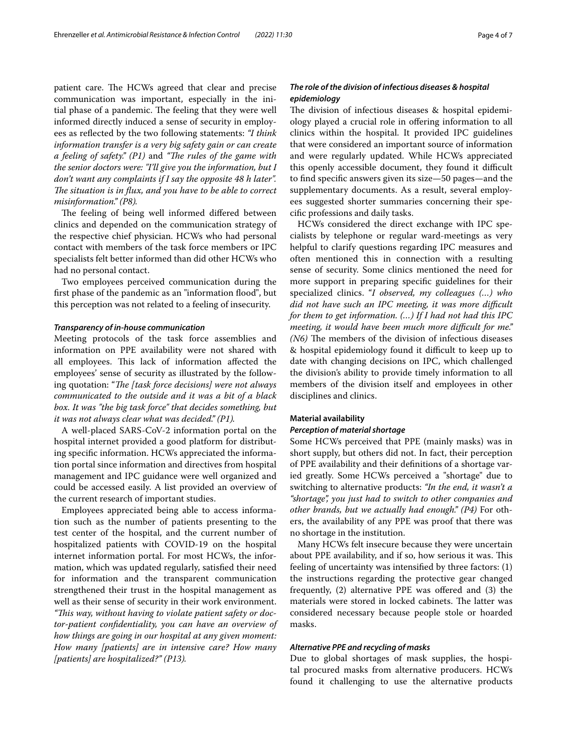patient care. The HCWs agreed that clear and precise communication was important, especially in the initial phase of a pandemic. The feeling that they were well informed directly induced a sense of security in employees as refected by the two following statements: *"I think information transfer is a very big safety gain or can create a feeling of safety.*" (P1) and "The rules of the game with *the senior doctors were: "I'll give you the information, but I don't want any complaints if I say the opposite 48 h later".*  The situation is in flux, and you have to be able to correct *misinformation." (P8).*

The feeling of being well informed differed between clinics and depended on the communication strategy of the respective chief physician. HCWs who had personal contact with members of the task force members or IPC specialists felt better informed than did other HCWs who had no personal contact.

Two employees perceived communication during the first phase of the pandemic as an "information flood", but this perception was not related to a feeling of insecurity.

#### *Transparency of in‑house communication*

Meeting protocols of the task force assemblies and information on PPE availability were not shared with all employees. This lack of information affected the employees' sense of security as illustrated by the following quotation: "*The [task force decisions] were not always communicated to the outside and it was a bit of a black box. It was "the big task force" that decides something, but it was not always clear what was decided." (P1).*

A well-placed SARS-CoV-2 information portal on the hospital internet provided a good platform for distributing specifc information. HCWs appreciated the information portal since information and directives from hospital management and IPC guidance were well organized and could be accessed easily. A list provided an overview of the current research of important studies.

Employees appreciated being able to access information such as the number of patients presenting to the test center of the hospital, and the current number of hospitalized patients with COVID-19 on the hospital internet information portal. For most HCWs, the information, which was updated regularly, satisfed their need for information and the transparent communication strengthened their trust in the hospital management as well as their sense of security in their work environment. *"Tis way, without having to violate patient safety or doctor-patient confdentiality, you can have an overview of how things are going in our hospital at any given moment: How many [patients] are in intensive care? How many [patients] are hospitalized?" (P13).*

# *The role of the division of infectious diseases & hospital epidemiology*

The division of infectious diseases & hospital epidemiology played a crucial role in ofering information to all clinics within the hospital. It provided IPC guidelines that were considered an important source of information and were regularly updated. While HCWs appreciated this openly accessible document, they found it difficult to fnd specifc answers given its size—50 pages—and the supplementary documents. As a result, several employees suggested shorter summaries concerning their specifc professions and daily tasks.

HCWs considered the direct exchange with IPC specialists by telephone or regular ward-meetings as very helpful to clarify questions regarding IPC measures and often mentioned this in connection with a resulting sense of security. Some clinics mentioned the need for more support in preparing specifc guidelines for their specialized clinics. "*I observed, my colleagues (…) who did not have such an IPC meeting, it was more difcult for them to get information. (…) If I had not had this IPC meeting, it would have been much more difcult for me." (N6)* The members of the division of infectious diseases & hospital epidemiology found it difcult to keep up to date with changing decisions on IPC, which challenged the division's ability to provide timely information to all members of the division itself and employees in other disciplines and clinics.

## **Material availability**

### *Perception of material shortage*

Some HCWs perceived that PPE (mainly masks) was in short supply, but others did not. In fact, their perception of PPE availability and their defnitions of a shortage varied greatly. Some HCWs perceived a "shortage" due to switching to alternative products: *"In the end, it wasn't a "shortage", you just had to switch to other companies and other brands, but we actually had enough." (P4)* For others, the availability of any PPE was proof that there was no shortage in the institution.

Many HCWs felt insecure because they were uncertain about PPE availability, and if so, how serious it was. This feeling of uncertainty was intensifed by three factors: (1) the instructions regarding the protective gear changed frequently, (2) alternative PPE was ofered and (3) the materials were stored in locked cabinets. The latter was considered necessary because people stole or hoarded masks.

#### *Alternative PPE and recycling of masks*

Due to global shortages of mask supplies, the hospital procured masks from alternative producers. HCWs found it challenging to use the alternative products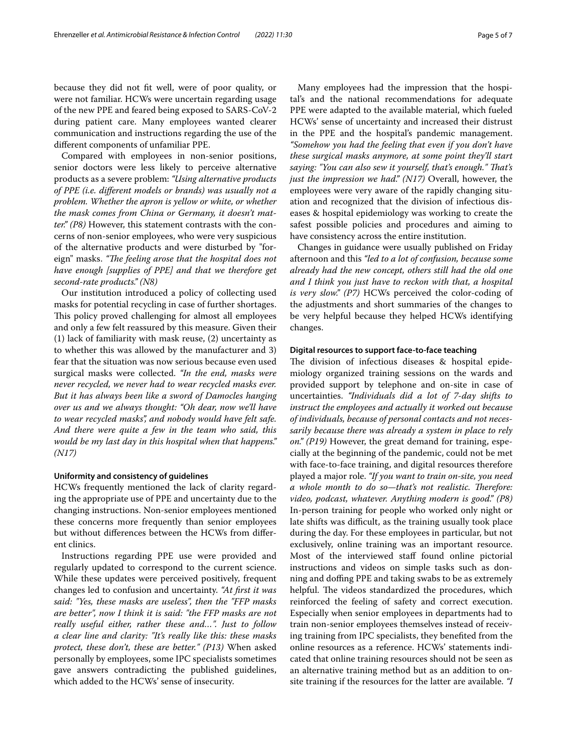because they did not ft well, were of poor quality, or were not familiar. HCWs were uncertain regarding usage of the new PPE and feared being exposed to SARS-CoV-2 during patient care. Many employees wanted clearer communication and instructions regarding the use of the diferent components of unfamiliar PPE.

Compared with employees in non-senior positions, senior doctors were less likely to perceive alternative products as a severe problem: *"Using alternative products of PPE (i.e. diferent models or brands) was usually not a problem. Whether the apron is yellow or white, or whether the mask comes from China or Germany, it doesn't matter." (P8)* However, this statement contrasts with the concerns of non-senior employees, who were very suspicious of the alternative products and were disturbed by "foreign" masks. "The feeling arose that the hospital does not *have enough [supplies of PPE] and that we therefore get second-rate products." (N8)*

Our institution introduced a policy of collecting used masks for potential recycling in case of further shortages. This policy proved challenging for almost all employees and only a few felt reassured by this measure. Given their (1) lack of familiarity with mask reuse, (2) uncertainty as to whether this was allowed by the manufacturer and 3) fear that the situation was now serious because even used surgical masks were collected. *"In the end, masks were never recycled, we never had to wear recycled masks ever. But it has always been like a sword of Damocles hanging over us and we always thought: "Oh dear, now we'll have to wear recycled masks", and nobody would have felt safe. And there were quite a few in the team who said, this would be my last day in this hospital when that happens." (N17)*

#### **Uniformity and consistency of guidelines**

HCWs frequently mentioned the lack of clarity regarding the appropriate use of PPE and uncertainty due to the changing instructions. Non-senior employees mentioned these concerns more frequently than senior employees but without diferences between the HCWs from diferent clinics.

Instructions regarding PPE use were provided and regularly updated to correspond to the current science. While these updates were perceived positively, frequent changes led to confusion and uncertainty. *"At frst it was said: "Yes, these masks are useless", then the "FFP masks are better", now I think it is said: "the FFP masks are not really useful either, rather these and…". Just to follow a clear line and clarity: "It's really like this: these masks protect, these don't, these are better." (P13)* When asked personally by employees, some IPC specialists sometimes gave answers contradicting the published guidelines, which added to the HCWs' sense of insecurity.

Many employees had the impression that the hospital's and the national recommendations for adequate PPE were adapted to the available material, which fueled HCWs' sense of uncertainty and increased their distrust in the PPE and the hospital's pandemic management. *"Somehow you had the feeling that even if you don't have these surgical masks anymore, at some point they'll start saying: "You can also sew it yourself, that's enough." Tat's just the impression we had." (N17)* Overall, however, the employees were very aware of the rapidly changing situation and recognized that the division of infectious diseases & hospital epidemiology was working to create the safest possible policies and procedures and aiming to have consistency across the entire institution.

Changes in guidance were usually published on Friday afternoon and this *"led to a lot of confusion, because some already had the new concept, others still had the old one and I think you just have to reckon with that, a hospital is very slow." (P7)* HCWs perceived the color-coding of the adjustments and short summaries of the changes to be very helpful because they helped HCWs identifying changes.

#### **Digital resources to support face-to-face teaching**

The division of infectious diseases & hospital epidemiology organized training sessions on the wards and provided support by telephone and on-site in case of uncertainties. *"Individuals did a lot of 7-day shifts to instruct the employees and actually it worked out because of individuals, because of personal contacts and not necessarily because there was already a system in place to rely on." (P19)* However, the great demand for training, especially at the beginning of the pandemic, could not be met with face-to-face training, and digital resources therefore played a major role. *"If you want to train on-site, you need a whole month to do so-that's not realistic. Therefore: video, podcast, whatever. Anything modern is good." (P8)* In-person training for people who worked only night or late shifts was difficult, as the training usually took place during the day. For these employees in particular, but not exclusively, online training was an important resource. Most of the interviewed staff found online pictorial instructions and videos on simple tasks such as donning and doffing PPE and taking swabs to be as extremely helpful. The videos standardized the procedures, which reinforced the feeling of safety and correct execution. Especially when senior employees in departments had to train non-senior employees themselves instead of receiving training from IPC specialists, they benefted from the online resources as a reference. HCWs' statements indicated that online training resources should not be seen as an alternative training method but as an addition to onsite training if the resources for the latter are available. *"I*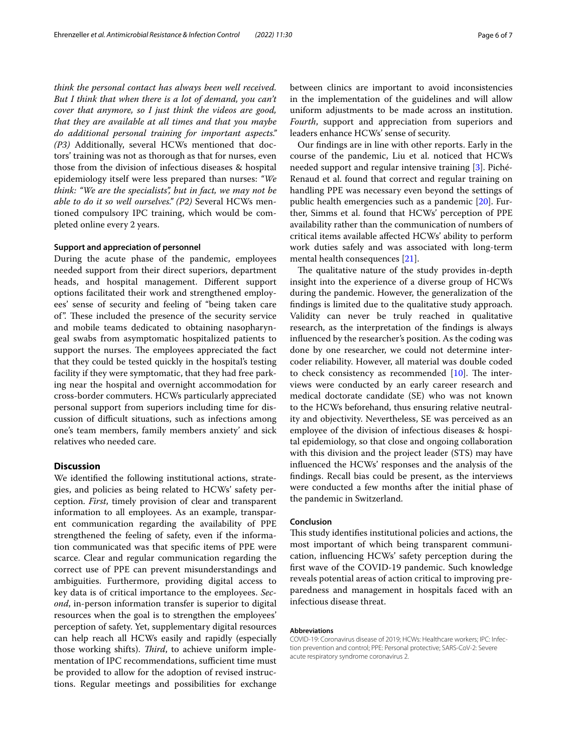*think the personal contact has always been well received. But I think that when there is a lot of demand, you can't cover that anymore, so I just think the videos are good, that they are available at all times and that you maybe do additional personal training for important aspects." (P3)* Additionally, several HCWs mentioned that doctors' training was not as thorough as that for nurses, even those from the division of infectious diseases & hospital epidemiology itself were less prepared than nurses: *"We think: "We are the specialists", but in fact, we may not be able to do it so well ourselves." (P2)* Several HCWs mentioned compulsory IPC training, which would be completed online every 2 years.

### **Support and appreciation of personnel**

During the acute phase of the pandemic, employees needed support from their direct superiors, department heads, and hospital management. Diferent support options facilitated their work and strengthened employees' sense of security and feeling of "being taken care of". These included the presence of the security service and mobile teams dedicated to obtaining nasopharyngeal swabs from asymptomatic hospitalized patients to support the nurses. The employees appreciated the fact that they could be tested quickly in the hospital's testing facility if they were symptomatic, that they had free parking near the hospital and overnight accommodation for cross-border commuters. HCWs particularly appreciated personal support from superiors including time for discussion of difcult situations, such as infections among one's team members, family members anxiety' and sick relatives who needed care.

## **Discussion**

We identifed the following institutional actions, strategies, and policies as being related to HCWs' safety perception. *First*, timely provision of clear and transparent information to all employees. As an example, transparent communication regarding the availability of PPE strengthened the feeling of safety, even if the information communicated was that specifc items of PPE were scarce. Clear and regular communication regarding the correct use of PPE can prevent misunderstandings and ambiguities. Furthermore, providing digital access to key data is of critical importance to the employees. *Second*, in-person information transfer is superior to digital resources when the goal is to strengthen the employees' perception of safety. Yet, supplementary digital resources can help reach all HCWs easily and rapidly (especially those working shifts). *Third*, to achieve uniform implementation of IPC recommendations, sufficient time must be provided to allow for the adoption of revised instructions. Regular meetings and possibilities for exchange between clinics are important to avoid inconsistencies in the implementation of the guidelines and will allow uniform adjustments to be made across an institution. *Fourth*, support and appreciation from superiors and leaders enhance HCWs' sense of security.

Our fndings are in line with other reports. Early in the course of the pandemic, Liu et al. noticed that HCWs needed support and regular intensive training [\[3](#page-6-4)]. Piché-Renaud et al. found that correct and regular training on handling PPE was necessary even beyond the settings of public health emergencies such as a pandemic [[20\]](#page-6-22). Further, Simms et al. found that HCWs' perception of PPE availability rather than the communication of numbers of critical items available afected HCWs' ability to perform work duties safely and was associated with long-term mental health consequences [\[21](#page-6-23)].

The qualitative nature of the study provides in-depth insight into the experience of a diverse group of HCWs during the pandemic. However, the generalization of the fndings is limited due to the qualitative study approach. Validity can never be truly reached in qualitative research, as the interpretation of the fndings is always infuenced by the researcher's position. As the coding was done by one researcher, we could not determine intercoder reliability. However, all material was double coded to check consistency as recommended  $[10]$  $[10]$  $[10]$ . The interviews were conducted by an early career research and medical doctorate candidate (SE) who was not known to the HCWs beforehand, thus ensuring relative neutrality and objectivity. Nevertheless, SE was perceived as an employee of the division of infectious diseases & hospital epidemiology, so that close and ongoing collaboration with this division and the project leader (STS) may have infuenced the HCWs' responses and the analysis of the fndings. Recall bias could be present, as the interviews were conducted a few months after the initial phase of the pandemic in Switzerland.

#### **Conclusion**

This study identifies institutional policies and actions, the most important of which being transparent communication, infuencing HCWs' safety perception during the frst wave of the COVID-19 pandemic. Such knowledge reveals potential areas of action critical to improving preparedness and management in hospitals faced with an infectious disease threat.

#### **Abbreviations**

COVID-19: Coronavirus disease of 2019; HCWs: Healthcare workers; IPC: Infec‑ tion prevention and control; PPE: Personal protective; SARS-CoV-2: Severe acute respiratory syndrome coronavirus 2.